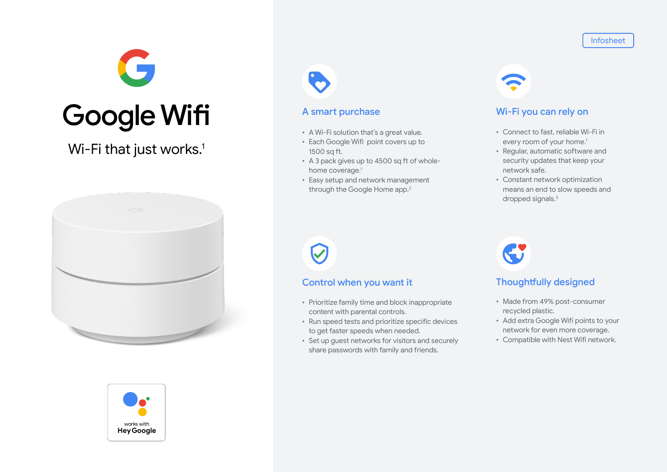Infosheet



Wi-Fi that just works.<sup>1</sup>







# A smart purchase

- A Wi-Fi solution that's a great value.
- Each Google Wifi point covers up to 1500 sq ft.
- A 3 pack gives up to 4500 sq ft of wholehome coverage.<sup>1</sup>
- Easy setup and network management through the Google Home app.<sup>2</sup>



- Connect to fast, reliable Wi-Fi in every room of your home.<sup>1</sup>
- Regular, automatic software and security updates that keep your network safe.
- Constant network optimization means an end to slow speeds and dropped signals.3

# Control when you want it

- Prioritize family time and block inappropriate content with parental controls.
- Run speed tests and prioritize specific devices to get faster speeds when needed.
- Set up guest networks for visitors and securely share passwords with family and friends.



# Thoughtfully designed

- Made from 49% post-consumer recycled plastic.
- Add extra Google Wifi points to your network for even more coverage.
- Compatible with Nest Wifi network.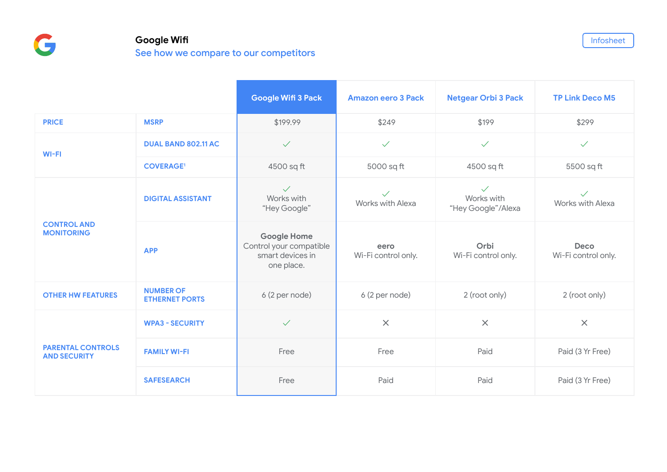# **Google Wifi** See how we compare to our competitors

**Google Wifi 3 Pack Amazon eero 3 Pack Netgear Orbi 3 Pack TP Link Deco M5 PRICE MSRP** \$199.99 \$249 \$199 \$299 **WI-FI DUAL BAND 802.11 AC** ✓ ✓ ✓ ✓ **COVERAGE1** 4500 sq ft 5000 sq ft 4500 sq ft 5500 sq ft **CONTROL AND MONITORING DIGITAL ASSISTANT** ✓ Works with "Hey Google" ✓ Works with Alexa ✓ Works with "Hey Google"/Alexa ✓ Works with Alexa **APP Google Home** Control your compatible smart devices in one place. **eero** Wi-Fi control only. **Orbi** Wi-Fi control only. **Deco** Wi-Fi control only. **OTHER HW FEATURES** NUMBER OF **ETHERNET PORTS** 6 (2 per node) 6 (2 per node) 6 (2 per node) 2 (root only) 2 (root only) **PARENTAL CONTROLS AND SECURITY WPA3 - SECURITY** ✓ **✕ ✕ ✕ FAMILY WI-FI** Free Free Free Free Free Paid Paid (3 Yr Free) **SAFESEARCH** Free Paid Paid Paid Paid Paid Paid (3 Yr Free)

Infosheet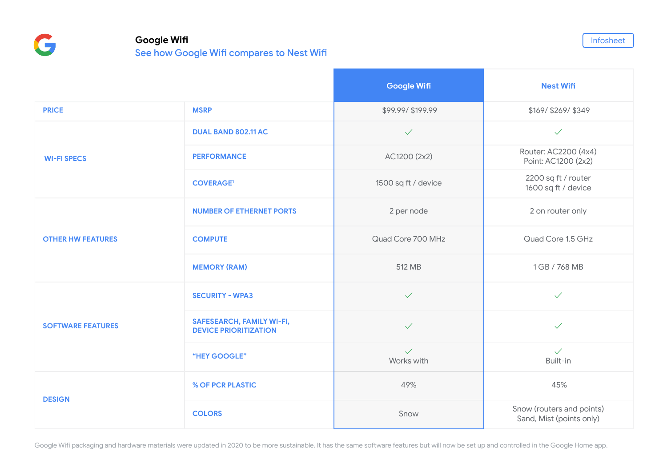G

# **Google Wifi**

See how Google Wifi compares to Nest Wifi

|                          |                                                                  | <b>Google Wifi</b>         | <b>Nest Wifi</b>                                      |
|--------------------------|------------------------------------------------------------------|----------------------------|-------------------------------------------------------|
| <b>PRICE</b>             | <b>MSRP</b>                                                      | \$99.99/\$199.99           | \$169/\$269/\$349                                     |
| <b>WI-FI SPECS</b>       | DUAL BAND 802.11 AC                                              | $\checkmark$               | $\checkmark$                                          |
|                          | <b>PERFORMANCE</b>                                               | AC1200 (2x2)               | Router: AC2200 (4x4)<br>Point: AC1200 (2x2)           |
|                          | <b>COVERAGE<sup>1</sup></b>                                      | 1500 sq ft / device        | 2200 sq ft / router<br>1600 sq ft / device            |
| <b>OTHER HW FEATURES</b> | <b>NUMBER OF ETHERNET PORTS</b>                                  | 2 per node                 | 2 on router only                                      |
|                          | <b>COMPUTE</b>                                                   | Quad Core 700 MHz          | Quad Core 1.5 GHz                                     |
|                          | <b>MEMORY (RAM)</b>                                              | 512 MB                     | 1 GB / 768 MB                                         |
| <b>SOFTWARE FEATURES</b> | <b>SECURITY - WPA3</b>                                           | $\checkmark$               | $\checkmark$                                          |
|                          | <b>SAFESEARCH, FAMILY WI-FI,</b><br><b>DEVICE PRIORITIZATION</b> | $\checkmark$               | $\checkmark$                                          |
|                          | "HEY GOOGLE"                                                     | $\checkmark$<br>Works with | $\checkmark$<br>Built-in                              |
| <b>DESIGN</b>            | % OF PCR PLASTIC                                                 | 49%                        | 45%                                                   |
|                          | <b>COLORS</b>                                                    | Snow                       | Snow (routers and points)<br>Sand, Mist (points only) |

Infosheet

Google Wifi packaging and hardware materials were updated in 2020 to be more sustainable. It has the same software features but will now be set up and controlled in the Google Home app.